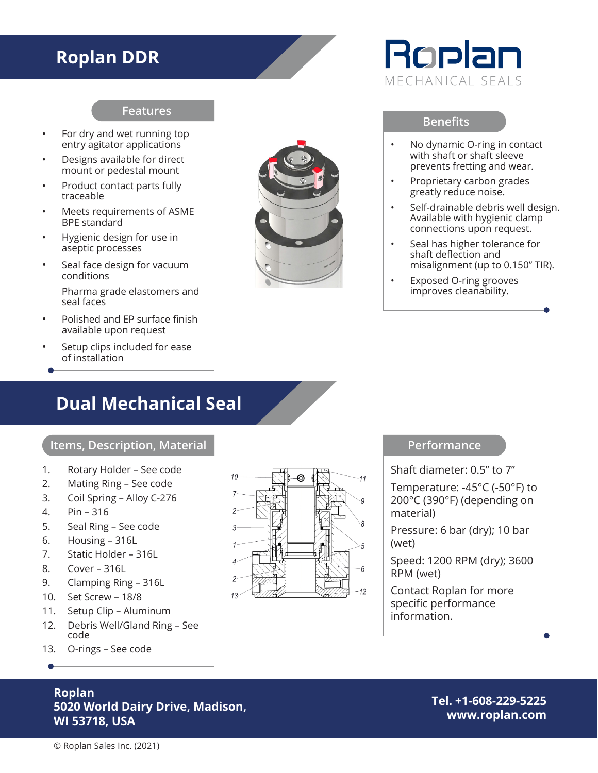## **Roplan DDR**

### **Features**

- For dry and wet running top entry agitator applications
- Designs available for direct mount or pedestal mount
- Product contact parts fully traceable
- Meets requirements of ASME BPE standard
- Hygienic design for use in aseptic processes
- Seal face design for vacuum conditions Pharma grade elastomers and seal faces
- Polished and EP surface finish available upon request
- Setup clips included for ease of installation

## **Dual Mechanical Seal**

#### **Items, Description, Material**

- 1. Rotary Holder See code
- 2. Mating Ring See code
- 3. Coil Spring Alloy C-276
- 4. Pin 316
- 5. Seal Ring See code
- 6. Housing 316L
- 7. Static Holder 316L
- 8. Cover 316L
- 9. Clamping Ring 316L
- 10. Set Screw 18/8
- 11. Setup Clip Aluminum
- 12. Debris Well/Gland Ring See code
- 13. O-rings See code

### **Roplan 5020 World Dairy Drive, Madison, WI 53718, USA**

**Tel. +1-608-229-5225 www.roplan.com**



# Roplan MECHANICAL SEALS

### **Benefits**

- No dynamic O-ring in contact with shaft or shaft sleeve prevents fretting and wear.
- Proprietary carbon grades greatly reduce noise.
- Self-drainable debris well design. Available with hygienic clamp connections upon request.
- Seal has higher tolerance for shaft deflection and misalignment (up to 0.150" TIR).
- Exposed O-ring grooves improves cleanability.

### **Performance**

Shaft diameter: 0.5" to 7"

Temperature: -45°C (-50°F) to 200°C (390°F) (depending on material)

Pressure: 6 bar (dry); 10 bar (wet)

Speed: 1200 RPM (dry); 3600 RPM (wet)

Contact Roplan for more specific performance information.

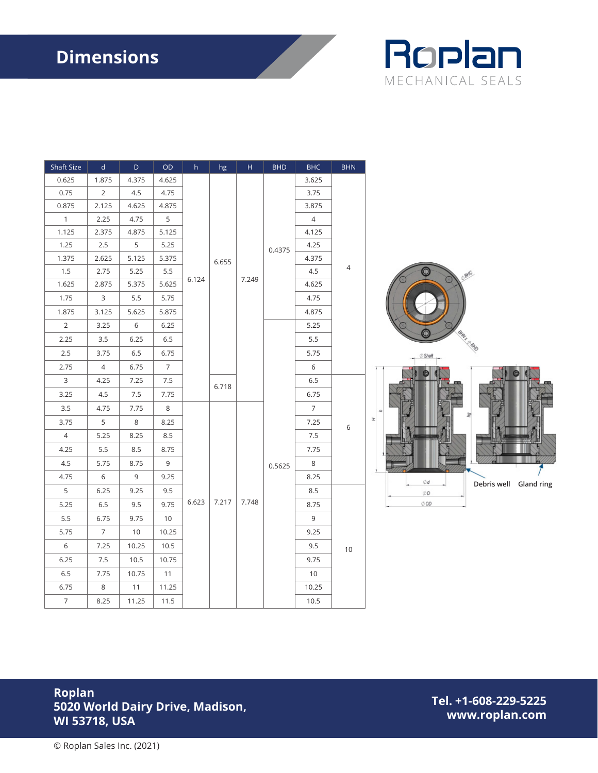

| Shaft Size     | $\mathsf{d}$    | $\mathsf D$ | OD             | $\,h$ | hg    | $\mathsf H$ | <b>BHD</b>       | <b>BHC</b>      | <b>BHN</b> |                                             |  |  |  |  |
|----------------|-----------------|-------------|----------------|-------|-------|-------------|------------------|-----------------|------------|---------------------------------------------|--|--|--|--|
| 0.625          | 1.875           | 4.375       | 4.625          | 6.124 | 6.655 | 7.249       | 0.4375<br>0.5625 | 3.625           |            |                                             |  |  |  |  |
| 0.75           | $\overline{2}$  | 4.5         | 4.75           |       |       |             |                  | 3.75            |            |                                             |  |  |  |  |
| 0.875          | 2.125           | 4.625       | 4.875          |       |       |             |                  | 3.875           |            |                                             |  |  |  |  |
| $\mathbf{1}$   | 2.25            | 4.75        | 5              |       |       |             |                  | $\overline{4}$  |            |                                             |  |  |  |  |
| 1.125          | 2.375           | 4.875       | 5.125          |       |       |             |                  | 4.125           |            |                                             |  |  |  |  |
| 1.25           | $2.5\,$         | 5           | 5.25           |       |       |             |                  | 4.25            | 4          |                                             |  |  |  |  |
| 1.375          | 2.625           | 5.125       | 5.375          |       |       |             |                  | 4.375           |            |                                             |  |  |  |  |
| 1.5            | 2.75            | 5.25        | 5.5            |       |       |             |                  | 4.5             |            | øЮ                                          |  |  |  |  |
| 1.625          | 2.875           | 5.375       | 5.625          |       |       |             |                  | 4.625           |            |                                             |  |  |  |  |
| 1.75           | $\mathsf{3}$    | 5.5         | 5.75           |       |       |             |                  | 4.75            |            |                                             |  |  |  |  |
| 1.875          | 3.125           | 5.625       | 5.875          |       |       |             |                  | 4.875           |            |                                             |  |  |  |  |
| $\overline{2}$ | 3.25            | $6\,$       | 6.25           |       |       |             |                  | 5.25            |            |                                             |  |  |  |  |
| 2.25           | 3.5             | 6.25        | 6.5            |       |       |             |                  | $5.5\,$         |            |                                             |  |  |  |  |
| 2.5            | 3.75            | 6.5         | 6.75           |       |       |             |                  | 5.75            |            | Shar                                        |  |  |  |  |
| 2.75           | $\overline{4}$  | 6.75        | $\overline{7}$ |       |       |             |                  | 6               |            |                                             |  |  |  |  |
| $\mathbf{3}$   | 4.25            | 7.25        | 7.5            |       |       |             |                  | $6.5\,$         | $6\,$      | $\mathbbmss{E}$                             |  |  |  |  |
| 3.25           | 4.5             | 7.5         | 7.75           |       | 6.718 |             |                  | 6.75            |            |                                             |  |  |  |  |
| 3.5            | 4.75            | 7.75        | $\,8\,$        |       | 7.217 | 7.748       |                  | $7\overline{ }$ |            |                                             |  |  |  |  |
| 3.75           | $5\phantom{.0}$ | 8           | 8.25           |       |       |             |                  | 7.25            |            |                                             |  |  |  |  |
| $\overline{4}$ | 5.25            | 8.25        | 8.5            |       |       |             |                  | 7.5             |            |                                             |  |  |  |  |
| 4.25           | $5.5\,$         | 8.5         | 8.75           | 6.623 |       |             |                  | 7.75            |            |                                             |  |  |  |  |
| 4.5            | 5.75            | 8.75        | $\mathsf 9$    |       |       |             |                  | 8               |            |                                             |  |  |  |  |
| 4.75           | $6\,$           | 9           | 9.25           |       |       |             |                  | 8.25            |            |                                             |  |  |  |  |
| 5              | 6.25            | 9.25        | 9.5            |       |       |             |                  | 8.5             |            | Ød<br>Debris well Gland ring<br>$\oslash$ D |  |  |  |  |
| 5.25           | 6.5             | 9.5         | 9.75           |       |       |             |                  | 8.75            |            | $\oslash$ OD                                |  |  |  |  |
| $5.5\,$        | 6.75            | 9.75        | 10             |       |       |             |                  | $\overline{9}$  |            |                                             |  |  |  |  |
| 5.75           | $7\overline{ }$ | 10          | 10.25          |       |       |             |                  | 9.25            |            |                                             |  |  |  |  |
| $6\,$          | 7.25            | 10.25       | 10.5           |       |       |             |                  | 9.5             | 10         |                                             |  |  |  |  |
| 6.25           | 7.5             | 10.5        | 10.75          |       |       |             |                  | 9.75            |            |                                             |  |  |  |  |
| $6.5\,$        | 7.75            | 10.75       | 11             |       |       |             |                  | 10              |            |                                             |  |  |  |  |
| 6.75           | $\,8\,$         | 11          | 11.25          |       |       |             |                  | 10.25           |            |                                             |  |  |  |  |
| $\overline{7}$ | 8.25            | 11.25       | 11.5           |       |       |             |                  | 10.5            |            |                                             |  |  |  |  |

### **Roplan 5020 World Dairy Drive, Madison, WI 53718, USA**

**Tel. +1-608-229-5225 www.roplan.com**